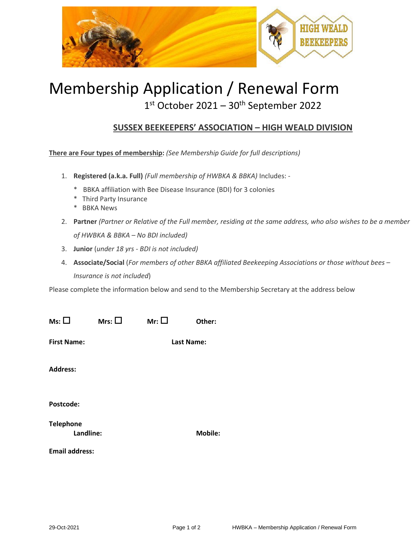

# Membership Application / Renewal Form

## 1st October 2021 - 30<sup>th</sup> September 2022

### **SUSSEX BEEKEEPERS' ASSOCIATION – HIGH WEALD DIVISION**

**There are Four types of membership:** *(See Membership Guide for full descriptions)*

- 1. **Registered (a.k.a. Full)** *(Full membership of HWBKA & BBKA)* Includes:
	- \* BBKA affiliation with Bee Disease Insurance (BDI) for 3 colonies
	- \* Third Party Insurance
	- \* BBKA News
- 2. **Partner** *(Partner or Relative of the Full member, residing at the same address, who also wishes to be a member of HWBKA & BBKA – No BDI included)*
- 3. **Junior** (*under 18 yrs - BDI is not included)*
- 4. **Associate/Social** (*For members of other BBKA affiliated Beekeeping Associations or those without bees – Insurance is not included*)

Please complete the information below and send to the Membership Secretary at the address below

| $Ms: \Box$                    | Mrs: $\square$ | Mr: $\square$ | Other:         |  |
|-------------------------------|----------------|---------------|----------------|--|
| <b>First Name:</b>            |                |               | Last Name:     |  |
| <b>Address:</b>               |                |               |                |  |
| Postcode:                     |                |               |                |  |
| <b>Telephone</b><br>Landline: |                |               | <b>Mobile:</b> |  |
| <b>Email address:</b>         |                |               |                |  |